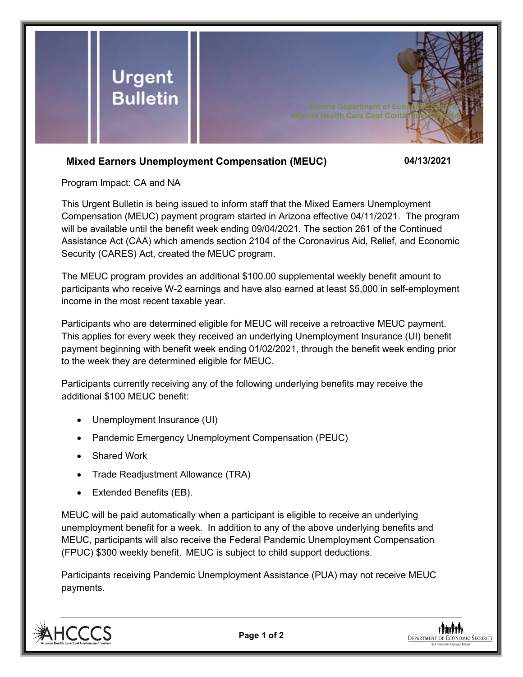

## **Mixed Earners Unemployment Compensation (MEUC) 04/13/2021**

Program Impact: CA and NA

This Urgent Bulletin is being issued to inform staff that the Mixed Earners Unemployment Compensation (MEUC) payment program started in Arizona effective 04/11/2021. The program will be available until the benefit week ending 09/04/2021. The section 261 of the Continued Assistance Act (CAA) which amends section 2104 of the Coronavirus Aid, Relief, and Economic Security (CARES) Act, created the MEUC program.

The MEUC program provides an additional \$100.00 supplemental weekly benefit amount to participants who receive W-2 earnings and have also earned at least \$5,000 in self-employment income in the most recent taxable year.

Participants who are determined eligible for MEUC will receive a retroactive MEUC payment. This applies for every week they received an underlying Unemployment Insurance (UI) benefit payment beginning with benefit week ending 01/02/2021, through the benefit week ending prior to the week they are determined eligible for MEUC.

Participants currently receiving any of the following underlying benefits may receive the additional \$100 MEUC benefit:

- Unemployment Insurance (UI)
- Pandemic Emergency Unemployment Compensation (PEUC)
- Shared Work
- Trade Readjustment Allowance (TRA)
- Extended Benefits (EB).

MEUC will be paid automatically when a participant is eligible to receive an underlying unemployment benefit for a week. In addition to any of the above underlying benefits and MEUC, participants will also receive the Federal Pandemic Unemployment Compensation (FPUC) \$300 weekly benefit. MEUC is subject to child support deductions.

Participants receiving Pandemic Unemployment Assistance (PUA) may not receive MEUC payments.